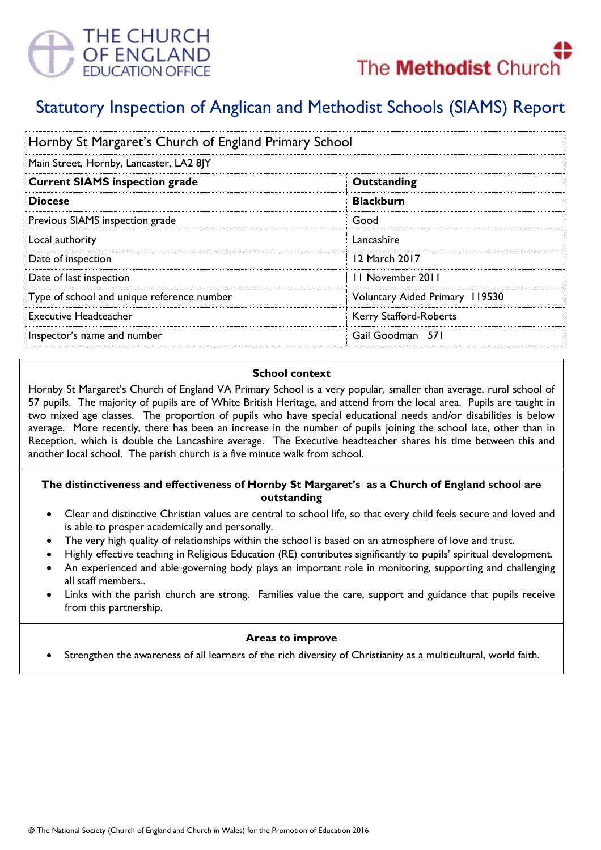



# Statutory Inspection of Anglican and Methodist Schools (SIAMS) Report

| Hornby St Margaret's Church of England Primary School |                                |
|-------------------------------------------------------|--------------------------------|
| Main Street, Hornby, Lancaster, LA2 8JY               |                                |
| <b>Current SIAMS inspection grade</b>                 | Outstanding                    |
| <b>Diocese</b>                                        | <b>Blackburn</b>               |
| Previous SIAMS inspection grade                       | Good                           |
| Local authority                                       | Lancashire                     |
| Date of inspection                                    | 12 March 2017                  |
| Date of last inspection                               | 11 November 2011               |
| Type of school and unique reference number            | Voluntary Aided Primary 119530 |
| <b>Executive Headteacher</b>                          | Kerry Stafford-Roberts         |
| Inspector's name and number                           | Gail Goodman 571               |

#### **School context**

Hornby St Margaret's Church of England VA Primary School is a very popular, smaller than average, rural school of 57 pupils. The majority of pupils are of White British Heritage, and attend from the local area. Pupils are taught in two mixed age classes. The proportion of pupils who have special educational needs and/or disabilities is below average. More recently, there has been an increase in the number of pupils joining the school late, other than in Reception, which is double the Lancashire average. The Executive headteacher shares his time between this and another local school. The parish church is a five minute walk from school.

## **The distinctiveness and effectiveness of Hornby St Margaret's as a Church of England school are outstanding**

- Clear and distinctive Christian values are central to school life, so that every child feels secure and loved and is able to prosper academically and personally.
- The very high quality of relationships within the school is based on an atmosphere of love and trust.
- Highly effective teaching in Religious Education (RE) contributes significantly to pupils' spiritual development.
- An experienced and able governing body plays an important role in monitoring, supporting and challenging all staff members..
- Links with the parish church are strong. Families value the care, support and guidance that pupils receive from this partnership.

## **Areas to improve**

Strengthen the awareness of all learners of the rich diversity of Christianity as a multicultural, world faith.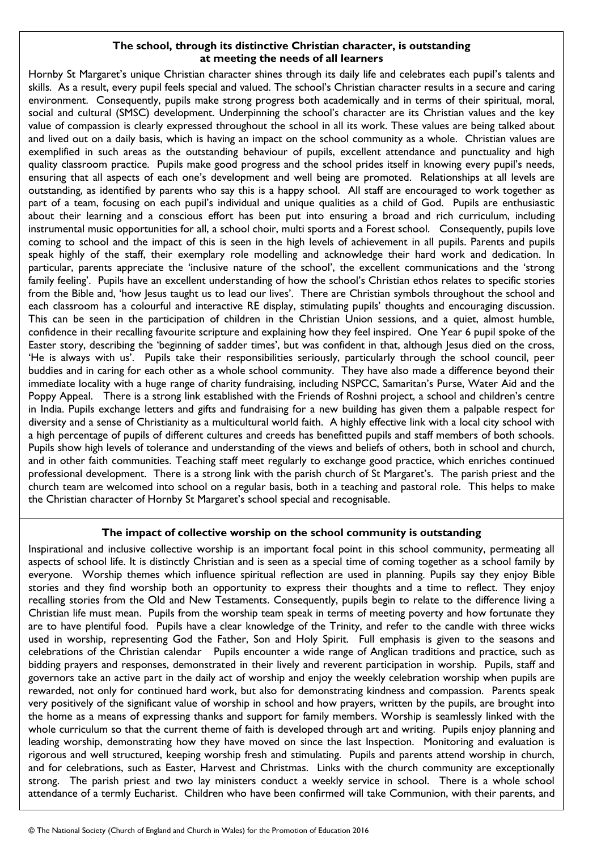## **The school, through its distinctive Christian character, is outstanding at meeting the needs of all learners**

Hornby St Margaret's unique Christian character shines through its daily life and celebrates each pupil's talents and skills. As a result, every pupil feels special and valued. The school's Christian character results in a secure and caring environment. Consequently, pupils make strong progress both academically and in terms of their spiritual, moral, social and cultural (SMSC) development. Underpinning the school's character are its Christian values and the key value of compassion is clearly expressed throughout the school in all its work. These values are being talked about and lived out on a daily basis, which is having an impact on the school community as a whole. Christian values are exemplified in such areas as the outstanding behaviour of pupils, excellent attendance and punctuality and high quality classroom practice. Pupils make good progress and the school prides itself in knowing every pupil's needs, ensuring that all aspects of each one's development and well being are promoted. Relationships at all levels are outstanding, as identified by parents who say this is a happy school. All staff are encouraged to work together as part of a team, focusing on each pupil's individual and unique qualities as a child of God. Pupils are enthusiastic about their learning and a conscious effort has been put into ensuring a broad and rich curriculum, including instrumental music opportunities for all, a school choir, multi sports and a Forest school. Consequently, pupils love coming to school and the impact of this is seen in the high levels of achievement in all pupils. Parents and pupils speak highly of the staff, their exemplary role modelling and acknowledge their hard work and dedication. In particular, parents appreciate the 'inclusive nature of the school', the excellent communications and the 'strong family feeling'. Pupils have an excellent understanding of how the school's Christian ethos relates to specific stories from the Bible and, 'how Jesus taught us to lead our lives'. There are Christian symbols throughout the school and each classroom has a colourful and interactive RE display, stimulating pupils' thoughts and encouraging discussion. This can be seen in the participation of children in the Christian Union sessions, and a quiet, almost humble, confidence in their recalling favourite scripture and explaining how they feel inspired. One Year 6 pupil spoke of the Easter story, describing the 'beginning of sadder times', but was confident in that, although Jesus died on the cross, 'He is always with us'. Pupils take their responsibilities seriously, particularly through the school council, peer buddies and in caring for each other as a whole school community. They have also made a difference beyond their immediate locality with a huge range of charity fundraising, including NSPCC, Samaritan's Purse, Water Aid and the Poppy Appeal. There is a strong link established with the Friends of Roshni project, a school and children's centre in India. Pupils exchange letters and gifts and fundraising for a new building has given them a palpable respect for diversity and a sense of Christianity as a multicultural world faith. A highly effective link with a local city school with a high percentage of pupils of different cultures and creeds has benefitted pupils and staff members of both schools. Pupils show high levels of tolerance and understanding of the views and beliefs of others, both in school and church, and in other faith communities. Teaching staff meet regularly to exchange good practice, which enriches continued professional development. There is a strong link with the parish church of St Margaret's. The parish priest and the church team are welcomed into school on a regular basis, both in a teaching and pastoral role. This helps to make the Christian character of Hornby St Margaret's school special and recognisable.

## **The impact of collective worship on the school community is outstanding**

Inspirational and inclusive collective worship is an important focal point in this school community, permeating all aspects of school life. It is distinctly Christian and is seen as a special time of coming together as a school family by everyone. Worship themes which influence spiritual reflection are used in planning. Pupils say they enjoy Bible stories and they find worship both an opportunity to express their thoughts and a time to reflect. They enjoy recalling stories from the Old and New Testaments. Consequently, pupils begin to relate to the difference living a Christian life must mean. Pupils from the worship team speak in terms of meeting poverty and how fortunate they are to have plentiful food. Pupils have a clear knowledge of the Trinity, and refer to the candle with three wicks used in worship, representing God the Father, Son and Holy Spirit. Full emphasis is given to the seasons and celebrations of the Christian calendar Pupils encounter a wide range of Anglican traditions and practice, such as bidding prayers and responses, demonstrated in their lively and reverent participation in worship. Pupils, staff and governors take an active part in the daily act of worship and enjoy the weekly celebration worship when pupils are rewarded, not only for continued hard work, but also for demonstrating kindness and compassion. Parents speak very positively of the significant value of worship in school and how prayers, written by the pupils, are brought into the home as a means of expressing thanks and support for family members. Worship is seamlessly linked with the whole curriculum so that the current theme of faith is developed through art and writing. Pupils enjoy planning and leading worship, demonstrating how they have moved on since the last Inspection. Monitoring and evaluation is rigorous and well structured, keeping worship fresh and stimulating. Pupils and parents attend worship in church, and for celebrations, such as Easter, Harvest and Christmas. Links with the church community are exceptionally strong. The parish priest and two lay ministers conduct a weekly service in school. There is a whole school attendance of a termly Eucharist. Children who have been confirmed will take Communion, with their parents, and